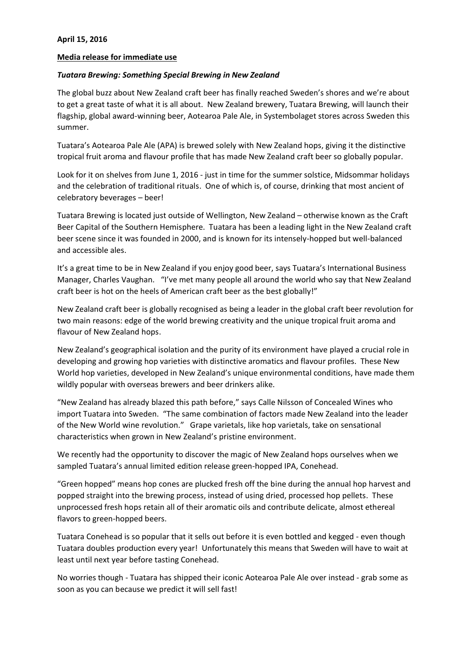## **Media release for immediate use**

## *Tuatara Brewing: Something Special Brewing in New Zealand*

The global buzz about New Zealand craft beer has finally reached Sweden's shores and we're about to get a great taste of what it is all about. New Zealand brewery, Tuatara Brewing, will launch their flagship, global award-winning beer, Aotearoa Pale Ale, in Systembolaget stores across Sweden this summer.

Tuatara's Aotearoa Pale Ale (APA) is brewed solely with New Zealand hops, giving it the distinctive tropical fruit aroma and flavour profile that has made New Zealand craft beer so globally popular.

Look for it on shelves from June 1, 2016 - just in time for the summer solstice, Midsommar holidays and the celebration of traditional rituals. One of which is, of course, drinking that most ancient of celebratory beverages – beer!

Tuatara Brewing is located just outside of Wellington, New Zealand – otherwise known as the Craft Beer Capital of the Southern Hemisphere. Tuatara has been a leading light in the New Zealand craft beer scene since it was founded in 2000, and is known for its intensely-hopped but well-balanced and accessible ales.

It's a great time to be in New Zealand if you enjoy good beer, says Tuatara's International Business Manager, Charles Vaughan. "I've met many people all around the world who say that New Zealand craft beer is hot on the heels of American craft beer as the best globally!"

New Zealand craft beer is globally recognised as being a leader in the global craft beer revolution for two main reasons: edge of the world brewing creativity and the unique tropical fruit aroma and flavour of New Zealand hops.

New Zealand's geographical isolation and the purity of its environment have played a crucial role in developing and growing hop varieties with distinctive aromatics and flavour profiles. These New World hop varieties, developed in New Zealand's unique environmental conditions, have made them wildly popular with overseas brewers and beer drinkers alike.

"New Zealand has already blazed this path before," says Calle Nilsson of Concealed Wines who import Tuatara into Sweden. "The same combination of factors made New Zealand into the leader of the New World wine revolution." Grape varietals, like hop varietals, take on sensational characteristics when grown in New Zealand's pristine environment.

We recently had the opportunity to discover the magic of New Zealand hops ourselves when we sampled Tuatara's annual limited edition release green-hopped IPA, Conehead.

"Green hopped" means hop cones are plucked fresh off the bine during the annual hop harvest and popped straight into the brewing process, instead of using dried, processed hop pellets. These unprocessed fresh hops retain all of their aromatic oils and contribute delicate, almost ethereal flavors to green-hopped beers.

Tuatara Conehead is so popular that it sells out before it is even bottled and kegged - even though Tuatara doubles production every year! Unfortunately this means that Sweden will have to wait at least until next year before tasting Conehead.

No worries though - Tuatara has shipped their iconic Aotearoa Pale Ale over instead - grab some as soon as you can because we predict it will sell fast!